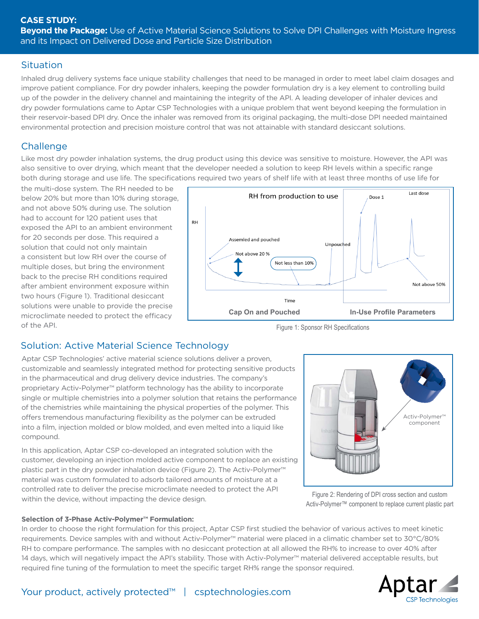## **Situation**

Inhaled drug delivery systems face unique stability challenges that need to be managed in order to meet label claim dosages and improve patient compliance. For dry powder inhalers, keeping the powder formulation dry is a key element to controlling build up of the powder in the delivery channel and maintaining the integrity of the API. A leading developer of inhaler devices and dry powder formulations came to Aptar CSP Technologies with a unique problem that went beyond keeping the formulation in their reservoir-based DPI dry. Once the inhaler was removed from its original packaging, the multi-dose DPI needed maintained environmental protection and precision moisture control that was not attainable with standard desiccant solutions.

# **Challenge**

Like most dry powder inhalation systems, the drug product using this device was sensitive to moisture. However, the API was also sensitive to over drying, which meant that the developer needed a solution to keep RH levels within a specific range both during storage and use life. The specifications required two years of shelf life with at least three months of use life for

the multi-dose system. The RH needed to be below 20% but more than 10% during storage, and not above 50% during use. The solution had to account for 120 patient uses that exposed the API to an ambient environment for 20 seconds per dose. This required a solution that could not only maintain a consistent but low RH over the course of multiple doses, but bring the environment back to the precise RH conditions required after ambient environment exposure within two hours (Figure 1). Traditional desiccant solutions were unable to provide the precise microclimate needed to protect the efficacy of the API.



Figure 1: Sponsor RH Specifications

# Solution: Active Material Science Technology

Aptar CSP Technologies' active material science solutions deliver a proven, customizable and seamlessly integrated method for protecting sensitive products in the pharmaceutical and drug delivery device industries. The company's proprietary Activ-Polymer™ platform technology has the ability to incorporate single or multiple chemistries into a polymer solution that retains the performance of the chemistries while maintaining the physical properties of the polymer. This offers tremendous manufacturing flexibility as the polymer can be extruded into a film, injection molded or blow molded, and even melted into a liquid like compound.

In this application, Aptar CSP co-developed an integrated solution with the customer, developing an injection molded active component to replace an existing plastic part in the dry powder inhalation device (Figure 2). The Activ-Polymer™ material was custom formulated to adsorb tailored amounts of moisture at a controlled rate to deliver the precise microclimate needed to protect the API within the device, without impacting the device design.



Figure 2: Rendering of DPI cross section and custom Activ-Polymer™ component to replace current plastic part

#### **Selection of 3-Phase Activ-Polymer™ Formulation:**

In order to choose the right formulation for this project, Aptar CSP first studied the behavior of various actives to meet kinetic requirements. Device samples with and without Activ-Polymer™ material were placed in a climatic chamber set to 30°C/80% RH to compare performance. The samples with no desiccant protection at all allowed the RH% to increase to over 40% after 14 days, which will negatively impact the API's stability. Those with Activ-Polymer™ material delivered acceptable results, but required fine tuning of the formulation to meet the specific target RH% range the sponsor required.